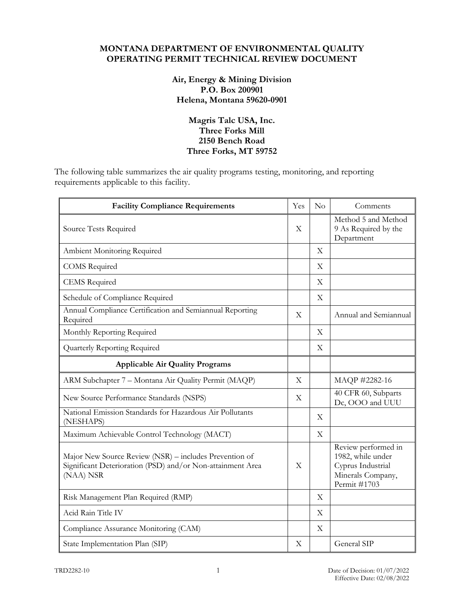### **MONTANA DEPARTMENT OF ENVIRONMENTAL QUALITY OPERATING PERMIT TECHNICAL REVIEW DOCUMENT**

## **Air, Energy & Mining Division P.O. Box 200901 Helena, Montana 59620-0901**

## **Magris Talc USA, Inc. Three Forks Mill 2150 Bench Road Three Forks, MT 59752**

The following table summarizes the air quality programs testing, monitoring, and reporting requirements applicable to this facility.

| <b>Facility Compliance Requirements</b>                                                                                           | Yes                       | No                        | Comments                                                                                           |
|-----------------------------------------------------------------------------------------------------------------------------------|---------------------------|---------------------------|----------------------------------------------------------------------------------------------------|
| Source Tests Required                                                                                                             |                           |                           | Method 5 and Method<br>9 As Required by the<br>Department                                          |
| Ambient Monitoring Required                                                                                                       |                           | $\boldsymbol{\mathrm{X}}$ |                                                                                                    |
| <b>COMS</b> Required                                                                                                              |                           | X                         |                                                                                                    |
| <b>CEMS</b> Required                                                                                                              |                           | $\boldsymbol{\mathrm{X}}$ |                                                                                                    |
| Schedule of Compliance Required                                                                                                   |                           | $\boldsymbol{\mathrm{X}}$ |                                                                                                    |
| Annual Compliance Certification and Semiannual Reporting<br>Required                                                              | X                         |                           | Annual and Semiannual                                                                              |
| Monthly Reporting Required                                                                                                        |                           | X                         |                                                                                                    |
| Quarterly Reporting Required                                                                                                      |                           | $\boldsymbol{\mathrm{X}}$ |                                                                                                    |
| <b>Applicable Air Quality Programs</b>                                                                                            |                           |                           |                                                                                                    |
| ARM Subchapter 7 - Montana Air Quality Permit (MAQP)                                                                              | $\overline{X}$            |                           | MAQP #2282-16                                                                                      |
| New Source Performance Standards (NSPS)                                                                                           | $\boldsymbol{\mathrm{X}}$ |                           | 40 CFR 60, Subparts<br>Dc, OOO and UUU                                                             |
| National Emission Standards for Hazardous Air Pollutants<br>(NESHAPS)                                                             |                           | $\boldsymbol{\mathrm{X}}$ |                                                                                                    |
| Maximum Achievable Control Technology (MACT)                                                                                      |                           | $\mathbf X$               |                                                                                                    |
| Major New Source Review (NSR) – includes Prevention of<br>Significant Deterioration (PSD) and/or Non-attainment Area<br>(NAA) NSR | $\overline{X}$            |                           | Review performed in<br>1982, while under<br>Cyprus Industrial<br>Minerals Company,<br>Permit #1703 |
| Risk Management Plan Required (RMP)                                                                                               |                           | $\boldsymbol{\mathrm{X}}$ |                                                                                                    |
| Acid Rain Title IV                                                                                                                |                           | $\mathbf X$               |                                                                                                    |
| Compliance Assurance Monitoring (CAM)                                                                                             |                           | $\mathbf X$               |                                                                                                    |
| State Implementation Plan (SIP)                                                                                                   | $\boldsymbol{\mathrm{X}}$ |                           | General SIP                                                                                        |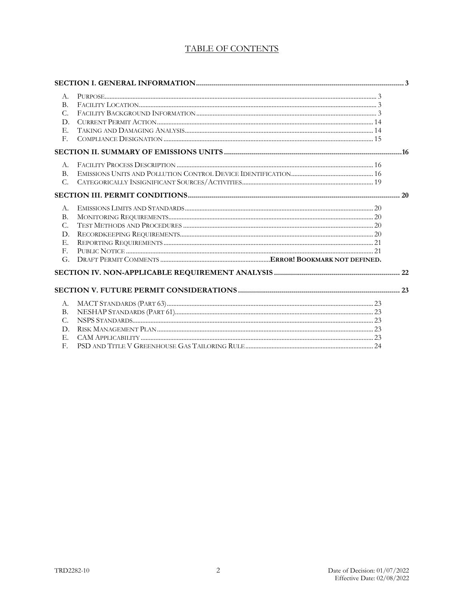# TABLE OF CONTENTS

| A.             |  |
|----------------|--|
| B <sub>1</sub> |  |
| $C_{\cdot}$    |  |
| D.             |  |
| E.             |  |
| F.             |  |
|                |  |
| $A_{\cdot}$    |  |
| <b>B.</b>      |  |
| C.             |  |
|                |  |
| $A_{\cdot}$    |  |
| <b>B.</b>      |  |
| $C_{\cdot}$    |  |
| D.             |  |
| E.             |  |
| F.             |  |
| G.             |  |
|                |  |
|                |  |
| A.             |  |
| <b>B.</b>      |  |
| $C_{\cdot}$    |  |
| D.             |  |
| E.             |  |
| F.             |  |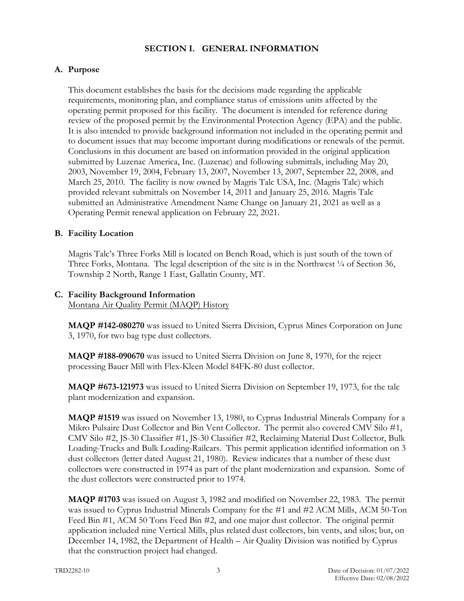### **SECTION I. GENERAL INFORMATION**

# **A. Purpose**

This document establishes the basis for the decisions made regarding the applicable requirements, monitoring plan, and compliance status of emissions units affected by the operating permit proposed for this facility. The document is intended for reference during review of the proposed permit by the Environmental Protection Agency (EPA) and the public. It is also intended to provide background information not included in the operating permit and to document issues that may become important during modifications or renewals of the permit. Conclusions in this document are based on information provided in the original application submitted by Luzenac America, Inc. (Luzenac) and following submittals, including May 20, 2003, November 19, 2004, February 13, 2007, November 13, 2007, September 22, 2008, and March 25, 2010. The facility is now owned by Magris Talc USA, Inc. (Magris Talc) which provided relevant submittals on November 14, 2011 and January 25, 2016. Magris Talc submitted an Administrative Amendment Name Change on January 21, 2021 as well as a Operating Permit renewal application on February 22, 2021.

### **B. Facility Location**

Magris Talc's Three Forks Mill is located on Bench Road, which is just south of the town of Three Forks, Montana. The legal description of the site is in the Northwest  $\frac{1}{4}$  of Section 36, Township 2 North, Range 1 East, Gallatin County, MT.

#### **C. Facility Background Information**  Montana Air Quality Permit (MAQP) History

**MAQP #142-080270** was issued to United Sierra Division, Cyprus Mines Corporation on June 3, 1970, for two bag type dust collectors.

**MAQP #188-090670** was issued to United Sierra Division on June 8, 1970, for the reject processing Bauer Mill with Flex-Kleen Model 84FK-80 dust collector.

**MAQP #673-121973** was issued to United Sierra Division on September 19, 1973, for the talc plant modernization and expansion.

**MAQP #1519** was issued on November 13, 1980, to Cyprus Industrial Minerals Company for a Mikro Pulsaire Dust Collector and Bin Vent Collector. The permit also covered CMV Silo #1, CMV Silo #2, JS-30 Classifier #1, JS-30 Classifier #2, Reclaiming Material Dust Collector, Bulk Loading-Trucks and Bulk Loading-Railcars. This permit application identified information on 3 dust collectors (letter dated August 21, 1980). Review indicates that a number of these dust collectors were constructed in 1974 as part of the plant modernization and expansion. Some of the dust collectors were constructed prior to 1974.

**MAQP #1703** was issued on August 3, 1982 and modified on November 22, 1983. The permit was issued to Cyprus Industrial Minerals Company for the #1 and #2 ACM Mills, ACM 50-Ton Feed Bin #1, ACM 50 Tons Feed Bin #2, and one major dust collector. The original permit application included nine Vertical Mills, plus related dust collectors, bin vents, and silos; but, on December 14, 1982, the Department of Health – Air Quality Division was notified by Cyprus that the construction project had changed.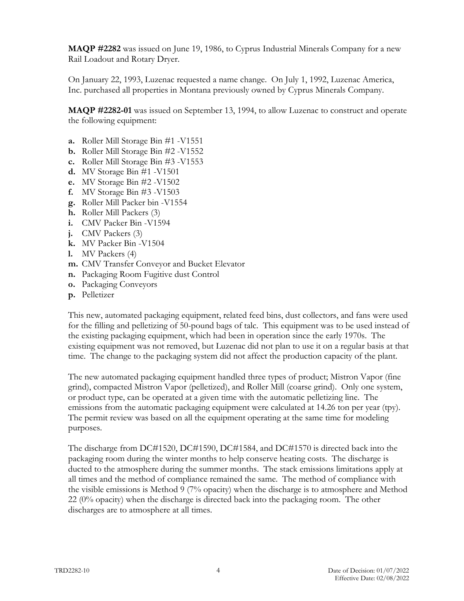**MAQP #2282** was issued on June 19, 1986, to Cyprus Industrial Minerals Company for a new Rail Loadout and Rotary Dryer.

On January 22, 1993, Luzenac requested a name change. On July 1, 1992, Luzenac America, Inc. purchased all properties in Montana previously owned by Cyprus Minerals Company.

**MAQP #2282-01** was issued on September 13, 1994, to allow Luzenac to construct and operate the following equipment:

- **a.** Roller Mill Storage Bin #1 -V1551
- **b.** Roller Mill Storage Bin #2 -V1552
- **c.** Roller Mill Storage Bin #3 -V1553
- **d.** MV Storage Bin #1 -V1501
- **e.** MV Storage Bin #2 -V1502
- **f.** MV Storage Bin #3 -V1503
- **g.** Roller Mill Packer bin -V1554
- **h.** Roller Mill Packers (3)
- **i.** CMV Packer Bin -V1594
- **j.** CMV Packers (3)
- **k.** MV Packer Bin -V1504
- **l.** MV Packers (4)
- **m.** CMV Transfer Conveyor and Bucket Elevator
- **n.** Packaging Room Fugitive dust Control
- **o.** Packaging Conveyors
- **p.** Pelletizer

This new, automated packaging equipment, related feed bins, dust collectors, and fans were used for the filling and pelletizing of 50-pound bags of talc. This equipment was to be used instead of the existing packaging equipment, which had been in operation since the early 1970s. The existing equipment was not removed, but Luzenac did not plan to use it on a regular basis at that time. The change to the packaging system did not affect the production capacity of the plant.

The new automated packaging equipment handled three types of product; Mistron Vapor (fine grind), compacted Mistron Vapor (pelletized), and Roller Mill (coarse grind). Only one system, or product type, can be operated at a given time with the automatic pelletizing line. The emissions from the automatic packaging equipment were calculated at 14.26 ton per year (tpy). The permit review was based on all the equipment operating at the same time for modeling purposes.

The discharge from DC#1520, DC#1590, DC#1584, and DC#1570 is directed back into the packaging room during the winter months to help conserve heating costs. The discharge is ducted to the atmosphere during the summer months. The stack emissions limitations apply at all times and the method of compliance remained the same. The method of compliance with the visible emissions is Method 9 (7% opacity) when the discharge is to atmosphere and Method 22 (0% opacity) when the discharge is directed back into the packaging room. The other discharges are to atmosphere at all times.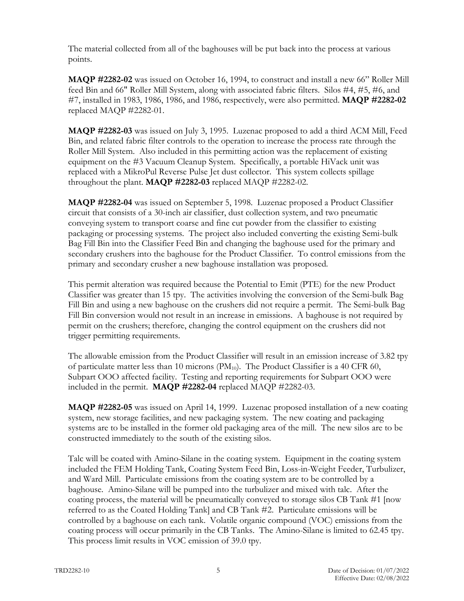The material collected from all of the baghouses will be put back into the process at various points.

**MAQP #2282-02** was issued on October 16, 1994, to construct and install a new 66" Roller Mill feed Bin and 66" Roller Mill System, along with associated fabric filters. Silos #4, #5, #6, and #7, installed in 1983, 1986, 1986, and 1986, respectively, were also permitted. **MAQP #2282-02** replaced MAQP #2282-01.

**MAQP #2282-03** was issued on July 3, 1995. Luzenac proposed to add a third ACM Mill, Feed Bin, and related fabric filter controls to the operation to increase the process rate through the Roller Mill System. Also included in this permitting action was the replacement of existing equipment on the #3 Vacuum Cleanup System. Specifically, a portable HiVack unit was replaced with a MikroPul Reverse Pulse Jet dust collector. This system collects spillage throughout the plant. **MAQP #2282-03** replaced MAQP #2282-02.

**MAQP #2282-04** was issued on September 5, 1998. Luzenac proposed a Product Classifier circuit that consists of a 30-inch air classifier, dust collection system, and two pneumatic conveying system to transport coarse and fine cut powder from the classifier to existing packaging or processing systems. The project also included converting the existing Semi-bulk Bag Fill Bin into the Classifier Feed Bin and changing the baghouse used for the primary and secondary crushers into the baghouse for the Product Classifier. To control emissions from the primary and secondary crusher a new baghouse installation was proposed.

This permit alteration was required because the Potential to Emit (PTE) for the new Product Classifier was greater than 15 tpy. The activities involving the conversion of the Semi-bulk Bag Fill Bin and using a new baghouse on the crushers did not require a permit. The Semi-bulk Bag Fill Bin conversion would not result in an increase in emissions. A baghouse is not required by permit on the crushers; therefore, changing the control equipment on the crushers did not trigger permitting requirements.

The allowable emission from the Product Classifier will result in an emission increase of 3.82 tpy of particulate matter less than 10 microns  $(PM_{10})$ . The Product Classifier is a 40 CFR 60, Subpart OOO affected facility. Testing and reporting requirements for Subpart OOO were included in the permit. **MAQP #2282-04** replaced MAQP #2282-03.

**MAQP #2282-05** was issued on April 14, 1999. Luzenac proposed installation of a new coating system, new storage facilities, and new packaging system. The new coating and packaging systems are to be installed in the former old packaging area of the mill. The new silos are to be constructed immediately to the south of the existing silos.

Talc will be coated with Amino-Silane in the coating system. Equipment in the coating system included the FEM Holding Tank, Coating System Feed Bin, Loss-in-Weight Feeder, Turbulizer, and Ward Mill. Particulate emissions from the coating system are to be controlled by a baghouse. Amino-Silane will be pumped into the turbulizer and mixed with talc. After the coating process, the material will be pneumatically conveyed to storage silos CB Tank #1 [now referred to as the Coated Holding Tank] and CB Tank #2. Particulate emissions will be controlled by a baghouse on each tank. Volatile organic compound (VOC) emissions from the coating process will occur primarily in the CB Tanks. The Amino-Silane is limited to 62.45 tpy. This process limit results in VOC emission of 39.0 tpy.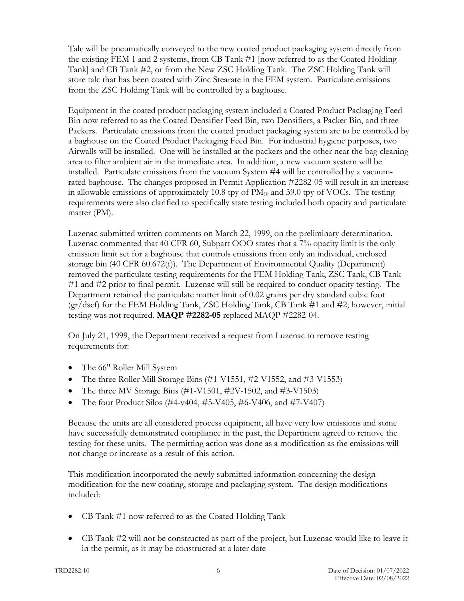Talc will be pneumatically conveyed to the new coated product packaging system directly from the existing FEM 1 and 2 systems, from CB Tank #1 [now referred to as the Coated Holding Tank] and CB Tank #2, or from the New ZSC Holding Tank. The ZSC Holding Tank will store talc that has been coated with Zinc Stearate in the FEM system. Particulate emissions from the ZSC Holding Tank will be controlled by a baghouse.

Equipment in the coated product packaging system included a Coated Product Packaging Feed Bin now referred to as the Coated Densifier Feed Bin, two Densifiers, a Packer Bin, and three Packers. Particulate emissions from the coated product packaging system are to be controlled by a baghouse on the Coated Product Packaging Feed Bin. For industrial hygiene purposes, two Airwalls will be installed. One will be installed at the packers and the other near the bag cleaning area to filter ambient air in the immediate area. In addition, a new vacuum system will be installed. Particulate emissions from the vacuum System #4 will be controlled by a vacuumrated baghouse. The changes proposed in Permit Application #2282-05 will result in an increase in allowable emissions of approximately 10.8 tpy of  $PM_{10}$  and 39.0 tpy of VOCs. The testing requirements were also clarified to specifically state testing included both opacity and particulate matter (PM).

Luzenac submitted written comments on March 22, 1999, on the preliminary determination. Luzenac commented that 40 CFR 60, Subpart OOO states that a 7% opacity limit is the only emission limit set for a baghouse that controls emissions from only an individual, enclosed storage bin (40 CFR 60.672(f)). The Department of Environmental Quality (Department) removed the particulate testing requirements for the FEM Holding Tank, ZSC Tank, CB Tank #1 and #2 prior to final permit. Luzenac will still be required to conduct opacity testing. The Department retained the particulate matter limit of 0.02 grains per dry standard cubic foot (gr/dscf) for the FEM Holding Tank, ZSC Holding Tank, CB Tank #1 and #2; however, initial testing was not required. **MAQP #2282-05** replaced MAQP #2282-04.

On July 21, 1999, the Department received a request from Luzenac to remove testing requirements for:

- The 66" Roller Mill System
- The three Roller Mill Storage Bins (#1-V1551, #2-V1552, and #3-V1553)
- The three MV Storage Bins  $(\#1-V1501, \#2V-1502, \text{ and } \#3-V1503)$
- The four Product Silos (#4-v404, #5-V405, #6-V406, and #7-V407)

Because the units are all considered process equipment, all have very low emissions and some have successfully demonstrated compliance in the past, the Department agreed to remove the testing for these units. The permitting action was done as a modification as the emissions will not change or increase as a result of this action.

This modification incorporated the newly submitted information concerning the design modification for the new coating, storage and packaging system. The design modifications included:

- CB Tank #1 now referred to as the Coated Holding Tank
- CB Tank #2 will not be constructed as part of the project, but Luzenac would like to leave it in the permit, as it may be constructed at a later date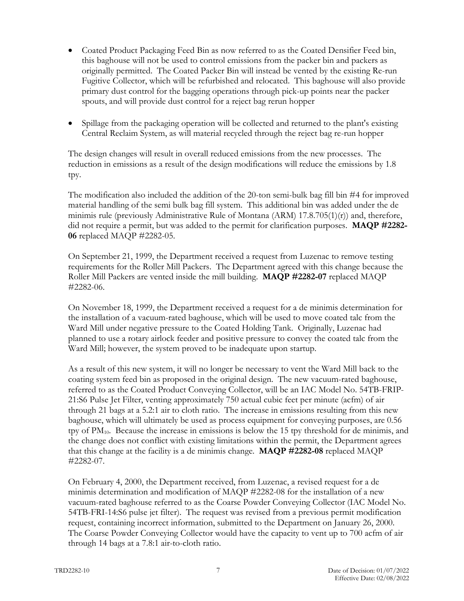- Coated Product Packaging Feed Bin as now referred to as the Coated Densifier Feed bin, this baghouse will not be used to control emissions from the packer bin and packers as originally permitted. The Coated Packer Bin will instead be vented by the existing Re-run Fugitive Collector, which will be refurbished and relocated. This baghouse will also provide primary dust control for the bagging operations through pick-up points near the packer spouts, and will provide dust control for a reject bag rerun hopper
- Spillage from the packaging operation will be collected and returned to the plant's existing Central Reclaim System, as will material recycled through the reject bag re-run hopper

The design changes will result in overall reduced emissions from the new processes. The reduction in emissions as a result of the design modifications will reduce the emissions by 1.8 tpy.

The modification also included the addition of the 20-ton semi-bulk bag fill bin #4 for improved material handling of the semi bulk bag fill system. This additional bin was added under the de minimis rule (previously Administrative Rule of Montana (ARM)  $17.8.705(1)(r)$  and, therefore, did not require a permit, but was added to the permit for clarification purposes. **MAQP #2282- 06** replaced MAQP #2282-05.

On September 21, 1999, the Department received a request from Luzenac to remove testing requirements for the Roller Mill Packers. The Department agreed with this change because the Roller Mill Packers are vented inside the mill building. **MAQP #2282-07** replaced MAQP #2282-06.

On November 18, 1999, the Department received a request for a de minimis determination for the installation of a vacuum-rated baghouse, which will be used to move coated talc from the Ward Mill under negative pressure to the Coated Holding Tank. Originally, Luzenac had planned to use a rotary airlock feeder and positive pressure to convey the coated talc from the Ward Mill; however, the system proved to be inadequate upon startup.

As a result of this new system, it will no longer be necessary to vent the Ward Mill back to the coating system feed bin as proposed in the original design. The new vacuum-rated baghouse, referred to as the Coated Product Conveying Collector, will be an IAC Model No. 54TB-FRIP-21:S6 Pulse Jet Filter, venting approximately 750 actual cubic feet per minute (acfm) of air through 21 bags at a 5.2:1 air to cloth ratio. The increase in emissions resulting from this new baghouse, which will ultimately be used as process equipment for conveying purposes, are 0.56 tpy of  $PM_{10}$ . Because the increase in emissions is below the 15 tpy threshold for de minimis, and the change does not conflict with existing limitations within the permit, the Department agrees that this change at the facility is a de minimis change. **MAQP #2282-08** replaced MAQP #2282-07.

On February 4, 2000, the Department received, from Luzenac, a revised request for a de minimis determination and modification of MAQP #2282-08 for the installation of a new vacuum-rated baghouse referred to as the Coarse Powder Conveying Collector (IAC Model No. 54TB-FRI-14:S6 pulse jet filter). The request was revised from a previous permit modification request, containing incorrect information, submitted to the Department on January 26, 2000. The Coarse Powder Conveying Collector would have the capacity to vent up to 700 acfm of air through 14 bags at a 7.8:1 air-to-cloth ratio.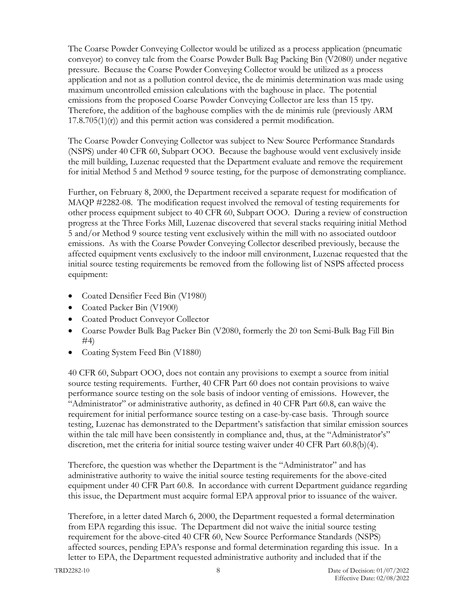The Coarse Powder Conveying Collector would be utilized as a process application (pneumatic conveyor) to convey talc from the Coarse Powder Bulk Bag Packing Bin (V2080) under negative pressure. Because the Coarse Powder Conveying Collector would be utilized as a process application and not as a pollution control device, the de minimis determination was made using maximum uncontrolled emission calculations with the baghouse in place. The potential emissions from the proposed Coarse Powder Conveying Collector are less than 15 tpy. Therefore, the addition of the baghouse complies with the de minimis rule (previously ARM  $17.8.705(1)(r)$  and this permit action was considered a permit modification.

The Coarse Powder Conveying Collector was subject to New Source Performance Standards (NSPS) under 40 CFR 60, Subpart OOO. Because the baghouse would vent exclusively inside the mill building, Luzenac requested that the Department evaluate and remove the requirement for initial Method 5 and Method 9 source testing, for the purpose of demonstrating compliance.

Further, on February 8, 2000, the Department received a separate request for modification of MAQP #2282-08. The modification request involved the removal of testing requirements for other process equipment subject to 40 CFR 60, Subpart OOO. During a review of construction progress at the Three Forks Mill, Luzenac discovered that several stacks requiring initial Method 5 and/or Method 9 source testing vent exclusively within the mill with no associated outdoor emissions. As with the Coarse Powder Conveying Collector described previously, because the affected equipment vents exclusively to the indoor mill environment, Luzenac requested that the initial source testing requirements be removed from the following list of NSPS affected process equipment:

- Coated Densifier Feed Bin (V1980)
- Coated Packer Bin (V1900)
- Coated Product Conveyor Collector
- Coarse Powder Bulk Bag Packer Bin (V2080, formerly the 20 ton Semi-Bulk Bag Fill Bin  $#4)$
- Coating System Feed Bin (V1880)

40 CFR 60, Subpart OOO, does not contain any provisions to exempt a source from initial source testing requirements. Further, 40 CFR Part 60 does not contain provisions to waive performance source testing on the sole basis of indoor venting of emissions. However, the "Administrator" or administrative authority, as defined in 40 CFR Part 60.8, can waive the requirement for initial performance source testing on a case-by-case basis. Through source testing, Luzenac has demonstrated to the Department's satisfaction that similar emission sources within the talc mill have been consistently in compliance and, thus, at the "Administrator's" discretion, met the criteria for initial source testing waiver under 40 CFR Part 60.8(b)(4).

Therefore, the question was whether the Department is the "Administrator" and has administrative authority to waive the initial source testing requirements for the above-cited equipment under 40 CFR Part 60.8. In accordance with current Department guidance regarding this issue, the Department must acquire formal EPA approval prior to issuance of the waiver.

Therefore, in a letter dated March 6, 2000, the Department requested a formal determination from EPA regarding this issue. The Department did not waive the initial source testing requirement for the above-cited 40 CFR 60, New Source Performance Standards (NSPS) affected sources, pending EPA's response and formal determination regarding this issue. In a letter to EPA, the Department requested administrative authority and included that if the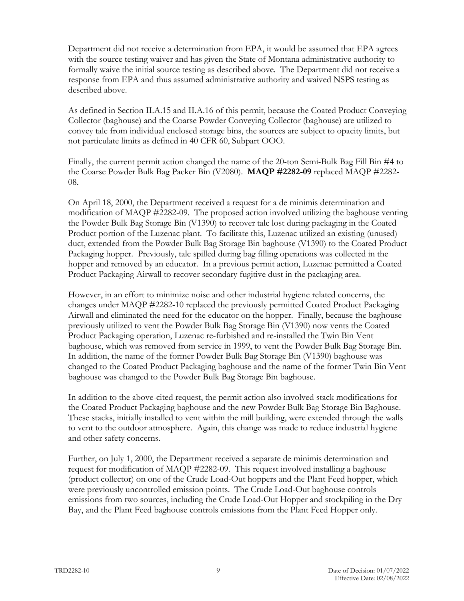Department did not receive a determination from EPA, it would be assumed that EPA agrees with the source testing waiver and has given the State of Montana administrative authority to formally waive the initial source testing as described above. The Department did not receive a response from EPA and thus assumed administrative authority and waived NSPS testing as described above.

As defined in Section II.A.15 and II.A.16 of this permit, because the Coated Product Conveying Collector (baghouse) and the Coarse Powder Conveying Collector (baghouse) are utilized to convey talc from individual enclosed storage bins, the sources are subject to opacity limits, but not particulate limits as defined in 40 CFR 60, Subpart OOO.

Finally, the current permit action changed the name of the 20-ton Semi-Bulk Bag Fill Bin #4 to the Coarse Powder Bulk Bag Packer Bin (V2080). **MAQP #2282-09** replaced MAQP #2282- 08.

On April 18, 2000, the Department received a request for a de minimis determination and modification of MAQP #2282-09. The proposed action involved utilizing the baghouse venting the Powder Bulk Bag Storage Bin (V1390) to recover talc lost during packaging in the Coated Product portion of the Luzenac plant. To facilitate this, Luzenac utilized an existing (unused) duct, extended from the Powder Bulk Bag Storage Bin baghouse (V1390) to the Coated Product Packaging hopper. Previously, talc spilled during bag filling operations was collected in the hopper and removed by an educator. In a previous permit action, Luzenac permitted a Coated Product Packaging Airwall to recover secondary fugitive dust in the packaging area.

However, in an effort to minimize noise and other industrial hygiene related concerns, the changes under MAQP #2282-10 replaced the previously permitted Coated Product Packaging Airwall and eliminated the need for the educator on the hopper. Finally, because the baghouse previously utilized to vent the Powder Bulk Bag Storage Bin (V1390) now vents the Coated Product Packaging operation, Luzenac re-furbished and re-installed the Twin Bin Vent baghouse, which was removed from service in 1999, to vent the Powder Bulk Bag Storage Bin. In addition, the name of the former Powder Bulk Bag Storage Bin (V1390) baghouse was changed to the Coated Product Packaging baghouse and the name of the former Twin Bin Vent baghouse was changed to the Powder Bulk Bag Storage Bin baghouse.

In addition to the above-cited request, the permit action also involved stack modifications for the Coated Product Packaging baghouse and the new Powder Bulk Bag Storage Bin Baghouse. These stacks, initially installed to vent within the mill building, were extended through the walls to vent to the outdoor atmosphere. Again, this change was made to reduce industrial hygiene and other safety concerns.

Further, on July 1, 2000, the Department received a separate de minimis determination and request for modification of MAQP #2282-09. This request involved installing a baghouse (product collector) on one of the Crude Load-Out hoppers and the Plant Feed hopper, which were previously uncontrolled emission points. The Crude Load-Out baghouse controls emissions from two sources, including the Crude Load-Out Hopper and stockpiling in the Dry Bay, and the Plant Feed baghouse controls emissions from the Plant Feed Hopper only.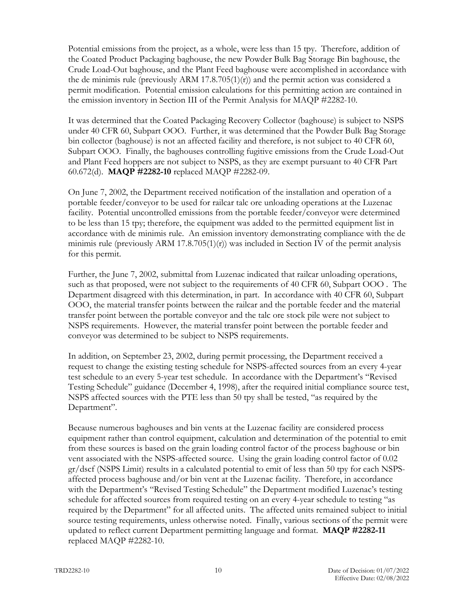Potential emissions from the project, as a whole, were less than 15 tpy. Therefore, addition of the Coated Product Packaging baghouse, the new Powder Bulk Bag Storage Bin baghouse, the Crude Load-Out baghouse, and the Plant Feed baghouse were accomplished in accordance with the de minimis rule (previously ARM  $17.8.705(1)(r)$ ) and the permit action was considered a permit modification. Potential emission calculations for this permitting action are contained in the emission inventory in Section III of the Permit Analysis for MAQP #2282-10.

It was determined that the Coated Packaging Recovery Collector (baghouse) is subject to NSPS under 40 CFR 60, Subpart OOO. Further, it was determined that the Powder Bulk Bag Storage bin collector (baghouse) is not an affected facility and therefore, is not subject to 40 CFR 60, Subpart OOO. Finally, the baghouses controlling fugitive emissions from the Crude Load-Out and Plant Feed hoppers are not subject to NSPS, as they are exempt pursuant to 40 CFR Part 60.672(d). **MAQP #2282-10** replaced MAQP #2282-09.

On June 7, 2002, the Department received notification of the installation and operation of a portable feeder/conveyor to be used for railcar talc ore unloading operations at the Luzenac facility. Potential uncontrolled emissions from the portable feeder/conveyor were determined to be less than 15 tpy; therefore, the equipment was added to the permitted equipment list in accordance with de minimis rule. An emission inventory demonstrating compliance with the de minimis rule (previously ARM 17.8.705(1)(r)) was included in Section IV of the permit analysis for this permit.

Further, the June 7, 2002, submittal from Luzenac indicated that railcar unloading operations, such as that proposed, were not subject to the requirements of 40 CFR 60, Subpart OOO . The Department disagreed with this determination, in part. In accordance with 40 CFR 60, Subpart OOO, the material transfer points between the railcar and the portable feeder and the material transfer point between the portable conveyor and the talc ore stock pile were not subject to NSPS requirements. However, the material transfer point between the portable feeder and conveyor was determined to be subject to NSPS requirements.

In addition, on September 23, 2002, during permit processing, the Department received a request to change the existing testing schedule for NSPS-affected sources from an every 4-year test schedule to an every 5-year test schedule. In accordance with the Department's "Revised Testing Schedule" guidance (December 4, 1998), after the required initial compliance source test, NSPS affected sources with the PTE less than 50 tpy shall be tested, "as required by the Department".

Because numerous baghouses and bin vents at the Luzenac facility are considered process equipment rather than control equipment, calculation and determination of the potential to emit from these sources is based on the grain loading control factor of the process baghouse or bin vent associated with the NSPS-affected source. Using the grain loading control factor of 0.02 gr/dscf (NSPS Limit) results in a calculated potential to emit of less than 50 tpy for each NSPSaffected process baghouse and/or bin vent at the Luzenac facility. Therefore, in accordance with the Department's "Revised Testing Schedule" the Department modified Luzenac's testing schedule for affected sources from required testing on an every 4-year schedule to testing "as required by the Department" for all affected units. The affected units remained subject to initial source testing requirements, unless otherwise noted. Finally, various sections of the permit were updated to reflect current Department permitting language and format. **MAQP #2282-11** replaced MAQP #2282-10.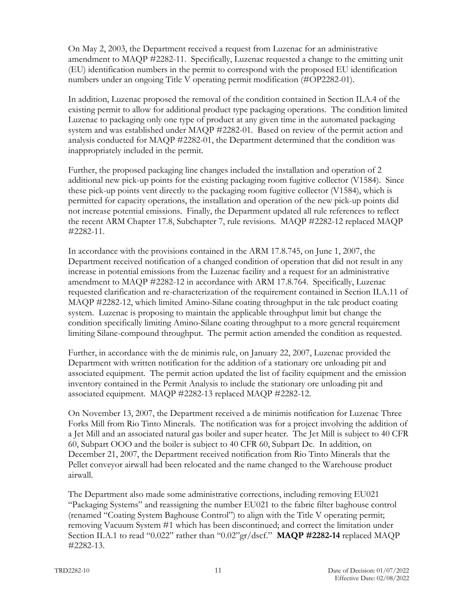On May 2, 2003, the Department received a request from Luzenac for an administrative amendment to MAQP #2282-11. Specifically, Luzenac requested a change to the emitting unit (EU) identification numbers in the permit to correspond with the proposed EU identification numbers under an ongoing Title V operating permit modification (#OP2282-01).

In addition, Luzenac proposed the removal of the condition contained in Section II.A.4 of the existing permit to allow for additional product type packaging operations. The condition limited Luzenac to packaging only one type of product at any given time in the automated packaging system and was established under MAQP #2282-01. Based on review of the permit action and analysis conducted for MAQP #2282-01, the Department determined that the condition was inappropriately included in the permit.

Further, the proposed packaging line changes included the installation and operation of 2 additional new pick-up points for the existing packaging room fugitive collector (V1584). Since these pick-up points vent directly to the packaging room fugitive collector (V1584), which is permitted for capacity operations, the installation and operation of the new pick-up points did not increase potential emissions. Finally, the Department updated all rule references to reflect the recent ARM Chapter 17.8, Subchapter 7, rule revisions. MAQP #2282-12 replaced MAQP #2282-11.

In accordance with the provisions contained in the ARM 17.8.745, on June 1, 2007, the Department received notification of a changed condition of operation that did not result in any increase in potential emissions from the Luzenac facility and a request for an administrative amendment to MAQP #2282-12 in accordance with ARM 17.8.764. Specifically, Luzenac requested clarification and re-characterization of the requirement contained in Section II.A.11 of MAQP #2282-12, which limited Amino-Silane coating throughput in the talc product coating system. Luzenac is proposing to maintain the applicable throughput limit but change the condition specifically limiting Amino-Silane coating throughput to a more general requirement limiting Silane-compound throughput. The permit action amended the condition as requested.

Further, in accordance with the de minimis rule, on January 22, 2007, Luzenac provided the Department with written notification for the addition of a stationary ore unloading pit and associated equipment. The permit action updated the list of facility equipment and the emission inventory contained in the Permit Analysis to include the stationary ore unloading pit and associated equipment. MAQP #2282-13 replaced MAQP #2282-12.

On November 13, 2007, the Department received a de minimis notification for Luzenac Three Forks Mill from Rio Tinto Minerals. The notification was for a project involving the addition of a Jet Mill and an associated natural gas boiler and super heater. The Jet Mill is subject to 40 CFR 60, Subpart OOO and the boiler is subject to 40 CFR 60, Subpart Dc. In addition, on December 21, 2007, the Department received notification from Rio Tinto Minerals that the Pellet conveyor airwall had been relocated and the name changed to the Warehouse product airwall.

The Department also made some administrative corrections, including removing EU021 "Packaging Systems" and reassigning the number EU021 to the fabric filter baghouse control (renamed "Coating System Baghouse Control") to align with the Title V operating permit; removing Vacuum System #1 which has been discontinued; and correct the limitation under Section II.A.1 to read "0.022" rather than "0.02"gr/dscf." **MAQP #2282-14** replaced MAQP #2282-13.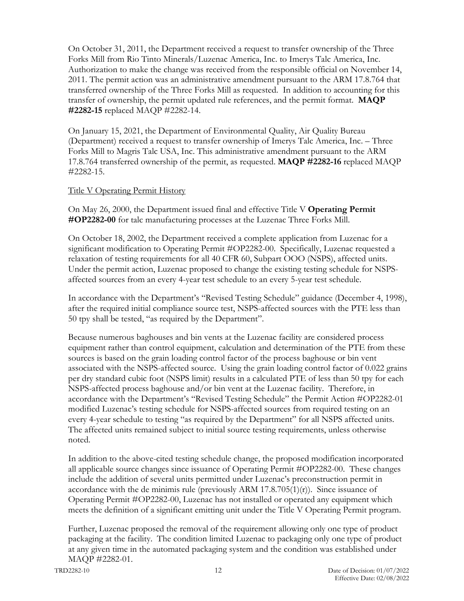On October 31, 2011, the Department received a request to transfer ownership of the Three Forks Mill from Rio Tinto Minerals/Luzenac America, Inc. to Imerys Talc America, Inc. Authorization to make the change was received from the responsible official on November 14, 2011. The permit action was an administrative amendment pursuant to the ARM 17.8.764 that transferred ownership of the Three Forks Mill as requested. In addition to accounting for this transfer of ownership, the permit updated rule references, and the permit format. **MAQP #2282-15** replaced MAQP #2282-14.

On January 15, 2021, the Department of Environmental Quality, Air Quality Bureau (Department) received a request to transfer ownership of Imerys Talc America, Inc. – Three Forks Mill to Magris Talc USA, Inc. This administrative amendment pursuant to the ARM 17.8.764 transferred ownership of the permit, as requested. **MAQP #2282-16** replaced MAQP #2282-15.

### Title V Operating Permit History

On May 26, 2000, the Department issued final and effective Title V **Operating Permit #OP2282-00** for talc manufacturing processes at the Luzenac Three Forks Mill.

On October 18, 2002, the Department received a complete application from Luzenac for a significant modification to Operating Permit #OP2282-00. Specifically, Luzenac requested a relaxation of testing requirements for all 40 CFR 60, Subpart OOO (NSPS), affected units. Under the permit action, Luzenac proposed to change the existing testing schedule for NSPSaffected sources from an every 4-year test schedule to an every 5-year test schedule.

In accordance with the Department's "Revised Testing Schedule" guidance (December 4, 1998), after the required initial compliance source test, NSPS-affected sources with the PTE less than 50 tpy shall be tested, "as required by the Department".

Because numerous baghouses and bin vents at the Luzenac facility are considered process equipment rather than control equipment, calculation and determination of the PTE from these sources is based on the grain loading control factor of the process baghouse or bin vent associated with the NSPS-affected source. Using the grain loading control factor of 0.022 grains per dry standard cubic foot (NSPS limit) results in a calculated PTE of less than 50 tpy for each NSPS-affected process baghouse and/or bin vent at the Luzenac facility. Therefore, in accordance with the Department's "Revised Testing Schedule" the Permit Action #OP2282-01 modified Luzenac's testing schedule for NSPS-affected sources from required testing on an every 4-year schedule to testing "as required by the Department" for all NSPS affected units. The affected units remained subject to initial source testing requirements, unless otherwise noted.

In addition to the above-cited testing schedule change, the proposed modification incorporated all applicable source changes since issuance of Operating Permit #OP2282-00. These changes include the addition of several units permitted under Luzenac's preconstruction permit in accordance with the de minimis rule (previously ARM  $17.8.705(1)(r)$ ). Since issuance of Operating Permit #OP2282-00, Luzenac has not installed or operated any equipment which meets the definition of a significant emitting unit under the Title V Operating Permit program.

Further, Luzenac proposed the removal of the requirement allowing only one type of product packaging at the facility. The condition limited Luzenac to packaging only one type of product at any given time in the automated packaging system and the condition was established under MAQP #2282-01.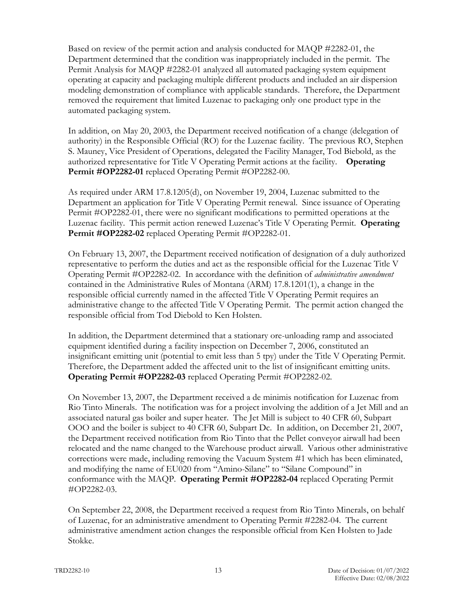Based on review of the permit action and analysis conducted for MAQP #2282-01, the Department determined that the condition was inappropriately included in the permit. The Permit Analysis for MAQP #2282-01 analyzed all automated packaging system equipment operating at capacity and packaging multiple different products and included an air dispersion modeling demonstration of compliance with applicable standards. Therefore, the Department removed the requirement that limited Luzenac to packaging only one product type in the automated packaging system.

In addition, on May 20, 2003, the Department received notification of a change (delegation of authority) in the Responsible Official (RO) for the Luzenac facility. The previous RO, Stephen S. Mauney, Vice President of Operations, delegated the Facility Manager, Tod Biebold, as the authorized representative for Title V Operating Permit actions at the facility. **Operating Permit #OP2282-01** replaced Operating Permit #OP2282-00.

As required under ARM 17.8.1205(d), on November 19, 2004, Luzenac submitted to the Department an application for Title V Operating Permit renewal. Since issuance of Operating Permit #OP2282-01, there were no significant modifications to permitted operations at the Luzenac facility. This permit action renewed Luzenac's Title V Operating Permit. **Operating Permit #OP2282-02** replaced Operating Permit #OP2282-01.

On February 13, 2007, the Department received notification of designation of a duly authorized representative to perform the duties and act as the responsible official for the Luzenac Title V Operating Permit #OP2282-02. In accordance with the definition of *administrative amendment* contained in the Administrative Rules of Montana (ARM) 17.8.1201(1), a change in the responsible official currently named in the affected Title V Operating Permit requires an administrative change to the affected Title V Operating Permit. The permit action changed the responsible official from Tod Diebold to Ken Holsten.

In addition, the Department determined that a stationary ore-unloading ramp and associated equipment identified during a facility inspection on December 7, 2006, constituted an insignificant emitting unit (potential to emit less than 5 tpy) under the Title V Operating Permit. Therefore, the Department added the affected unit to the list of insignificant emitting units. **Operating Permit #OP2282-03** replaced Operating Permit #OP2282-02.

On November 13, 2007, the Department received a de minimis notification for Luzenac from Rio Tinto Minerals. The notification was for a project involving the addition of a Jet Mill and an associated natural gas boiler and super heater. The Jet Mill is subject to 40 CFR 60, Subpart OOO and the boiler is subject to 40 CFR 60, Subpart Dc. In addition, on December 21, 2007, the Department received notification from Rio Tinto that the Pellet conveyor airwall had been relocated and the name changed to the Warehouse product airwall. Various other administrative corrections were made, including removing the Vacuum System #1 which has been eliminated, and modifying the name of EU020 from "Amino-Silane" to "Silane Compound" in conformance with the MAQP. **Operating Permit #OP2282-04** replaced Operating Permit #OP2282-03.

On September 22, 2008, the Department received a request from Rio Tinto Minerals, on behalf of Luzenac, for an administrative amendment to Operating Permit #2282-04. The current administrative amendment action changes the responsible official from Ken Holsten to Jade Stokke.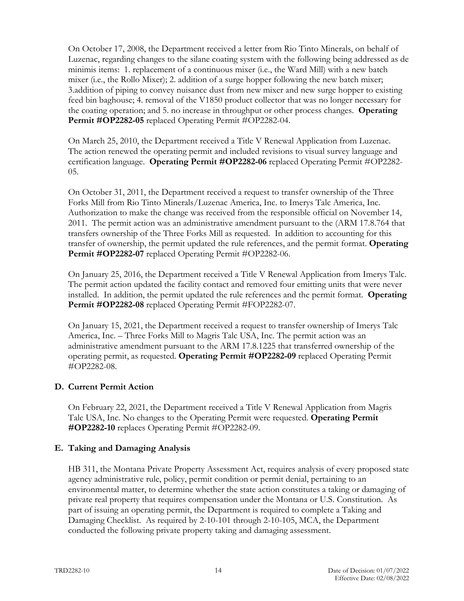On October 17, 2008, the Department received a letter from Rio Tinto Minerals, on behalf of Luzenac, regarding changes to the silane coating system with the following being addressed as de minimis items: 1. replacement of a continuous mixer (i.e., the Ward Mill) with a new batch mixer (i.e., the Rollo Mixer); 2. addition of a surge hopper following the new batch mixer; 3.addition of piping to convey nuisance dust from new mixer and new surge hopper to existing feed bin baghouse; 4. removal of the V1850 product collector that was no longer necessary for the coating operation; and 5. no increase in throughput or other process changes. **Operating Permit #OP2282-05** replaced Operating Permit #OP2282-04.

On March 25, 2010, the Department received a Title V Renewal Application from Luzenac. The action renewed the operating permit and included revisions to visual survey language and certification language. **Operating Permit #OP2282-06** replaced Operating Permit #OP2282- 05.

On October 31, 2011, the Department received a request to transfer ownership of the Three Forks Mill from Rio Tinto Minerals/Luzenac America, Inc. to Imerys Talc America, Inc. Authorization to make the change was received from the responsible official on November 14, 2011. The permit action was an administrative amendment pursuant to the (ARM 17.8.764 that transfers ownership of the Three Forks Mill as requested. In addition to accounting for this transfer of ownership, the permit updated the rule references, and the permit format. **Operating Permit #OP2282-07** replaced Operating Permit #OP2282-06.

On January 25, 2016, the Department received a Title V Renewal Application from Imerys Talc. The permit action updated the facility contact and removed four emitting units that were never installed. In addition, the permit updated the rule references and the permit format. **Operating Permit #OP2282-08** replaced Operating Permit #FOP2282-07.

On January 15, 2021, the Department received a request to transfer ownership of Imerys Talc America, Inc. – Three Forks Mill to Magris Talc USA, Inc. The permit action was an administrative amendment pursuant to the ARM 17.8.1225 that transferred ownership of the operating permit, as requested. **Operating Permit #OP2282-09** replaced Operating Permit #OP2282-08.

# **D. Current Permit Action**

On February 22, 2021, the Department received a Title V Renewal Application from Magris Talc USA, Inc. No changes to the Operating Permit were requested. **Operating Permit #OP2282-10** replaces Operating Permit #OP2282-09.

# **E. Taking and Damaging Analysis**

HB 311, the Montana Private Property Assessment Act, requires analysis of every proposed state agency administrative rule, policy, permit condition or permit denial, pertaining to an environmental matter, to determine whether the state action constitutes a taking or damaging of private real property that requires compensation under the Montana or U.S. Constitution. As part of issuing an operating permit, the Department is required to complete a Taking and Damaging Checklist. As required by 2-10-101 through 2-10-105, MCA, the Department conducted the following private property taking and damaging assessment.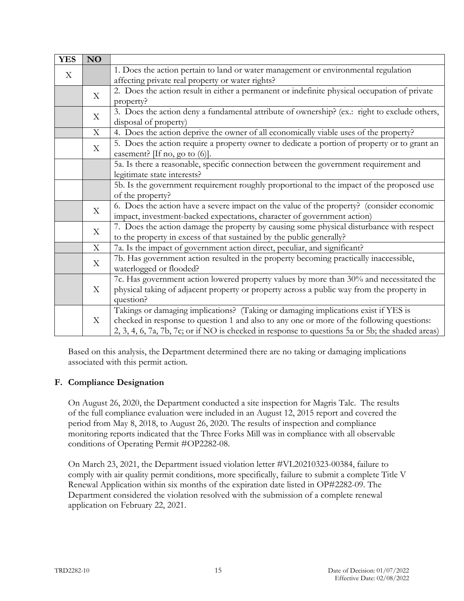| <b>YES</b> | NO                        |                                                                                                  |
|------------|---------------------------|--------------------------------------------------------------------------------------------------|
| X          |                           | 1. Does the action pertain to land or water management or environmental regulation               |
|            |                           | affecting private real property or water rights?                                                 |
|            | X                         | 2. Does the action result in either a permanent or indefinite physical occupation of private     |
|            |                           | property?                                                                                        |
|            | X                         | 3. Does the action deny a fundamental attribute of ownership? (ex.: right to exclude others,     |
|            |                           | disposal of property)                                                                            |
|            | $\boldsymbol{\mathrm{X}}$ | 4. Does the action deprive the owner of all economically viable uses of the property?            |
|            | X                         | 5. Does the action require a property owner to dedicate a portion of property or to grant an     |
|            |                           | easement? [If no, go to $(6)$ ].                                                                 |
|            |                           | 5a. Is there a reasonable, specific connection between the government requirement and            |
|            |                           | legitimate state interests?                                                                      |
|            |                           | 5b. Is the government requirement roughly proportional to the impact of the proposed use         |
|            |                           | of the property?                                                                                 |
|            | X                         | 6. Does the action have a severe impact on the value of the property? (consider economic         |
|            |                           | impact, investment-backed expectations, character of government action)                          |
|            | $\boldsymbol{\mathrm{X}}$ | 7. Does the action damage the property by causing some physical disturbance with respect         |
|            |                           | to the property in excess of that sustained by the public generally?                             |
|            | X                         | 7a. Is the impact of government action direct, peculiar, and significant?                        |
|            | $\boldsymbol{\mathrm{X}}$ | 7b. Has government action resulted in the property becoming practically inaccessible,            |
|            |                           | waterlogged or flooded?                                                                          |
|            |                           | 7c. Has government action lowered property values by more than 30% and necessitated the          |
|            | X                         | physical taking of adjacent property or property across a public way from the property in        |
|            |                           | question?                                                                                        |
|            |                           | Takings or damaging implications? (Taking or damaging implications exist if YES is               |
|            | X                         | checked in response to question 1 and also to any one or more of the following questions:        |
|            |                           | 2, 3, 4, 6, 7a, 7b, 7c; or if NO is checked in response to questions 5a or 5b; the shaded areas) |

Based on this analysis, the Department determined there are no taking or damaging implications associated with this permit action.

# **F. Compliance Designation**

On August 26, 2020, the Department conducted a site inspection for Magris Talc. The results of the full compliance evaluation were included in an August 12, 2015 report and covered the period from May 8, 2018, to August 26, 2020. The results of inspection and compliance monitoring reports indicated that the Three Forks Mill was in compliance with all observable conditions of Operating Permit #OP2282-08.

On March 23, 2021, the Department issued violation letter #VL20210323-00384, failure to comply with air quality permit conditions, more specifically, failure to submit a complete Title V Renewal Application within six months of the expiration date listed in OP#2282-09. The Department considered the violation resolved with the submission of a complete renewal application on February 22, 2021.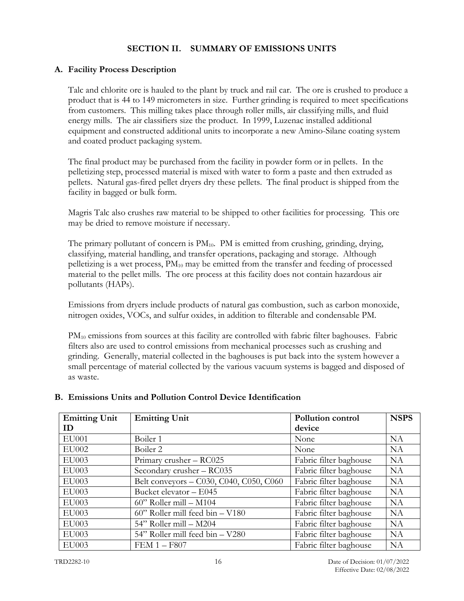# **SECTION II. SUMMARY OF EMISSIONS UNITS**

# **A. Facility Process Description**

Talc and chlorite ore is hauled to the plant by truck and rail car. The ore is crushed to produce a product that is 44 to 149 micrometers in size. Further grinding is required to meet specifications from customers. This milling takes place through roller mills, air classifying mills, and fluid energy mills. The air classifiers size the product. In 1999, Luzenac installed additional equipment and constructed additional units to incorporate a new Amino-Silane coating system and coated product packaging system.

The final product may be purchased from the facility in powder form or in pellets. In the pelletizing step, processed material is mixed with water to form a paste and then extruded as pellets. Natural gas-fired pellet dryers dry these pellets. The final product is shipped from the facility in bagged or bulk form.

Magris Talc also crushes raw material to be shipped to other facilities for processing. This ore may be dried to remove moisture if necessary.

The primary pollutant of concern is  $PM_{10}$ . PM is emitted from crushing, grinding, drying, classifying, material handling, and transfer operations, packaging and storage. Although pelletizing is a wet process,  $PM_{10}$  may be emitted from the transfer and feeding of processed material to the pellet mills. The ore process at this facility does not contain hazardous air pollutants (HAPs).

Emissions from dryers include products of natural gas combustion, such as carbon monoxide, nitrogen oxides, VOCs, and sulfur oxides, in addition to filterable and condensable PM.

 $PM_{10}$  emissions from sources at this facility are controlled with fabric filter baghouses. Fabric filters also are used to control emissions from mechanical processes such as crushing and grinding. Generally, material collected in the baghouses is put back into the system however a small percentage of material collected by the various vacuum systems is bagged and disposed of as waste.

| <b>Emitting Unit</b> | <b>Emitting Unit</b>                    | Pollution control      | <b>NSPS</b> |
|----------------------|-----------------------------------------|------------------------|-------------|
| ID                   |                                         | device                 |             |
| <b>EU001</b>         | Boiler 1                                | None                   | <b>NA</b>   |
| <b>EU002</b>         | Boiler 2                                | None                   | <b>NA</b>   |
| <b>EU003</b>         | Primary crusher - RC025                 | Fabric filter baghouse | <b>NA</b>   |
| <b>EU003</b>         | Secondary crusher - RC035               | Fabric filter baghouse | <b>NA</b>   |
| EU003                | Belt conveyors - C030, C040, C050, C060 | Fabric filter baghouse | <b>NA</b>   |
| <b>EU003</b>         | Bucket elevator - E045                  | Fabric filter baghouse | <b>NA</b>   |
| EU003                | $60$ " Roller mill – M104               | Fabric filter baghouse | <b>NA</b>   |
| <b>EU003</b>         | $60$ " Roller mill feed bin $-$ V180    | Fabric filter baghouse | <b>NA</b>   |
| EU003                | 54" Roller mill - M204                  | Fabric filter baghouse | <b>NA</b>   |
| EU003                | 54" Roller mill feed bin - V280         | Fabric filter baghouse | <b>NA</b>   |
| EU003                | $FEM 1 - F807$                          | Fabric filter baghouse | NA          |

# **B. Emissions Units and Pollution Control Device Identification**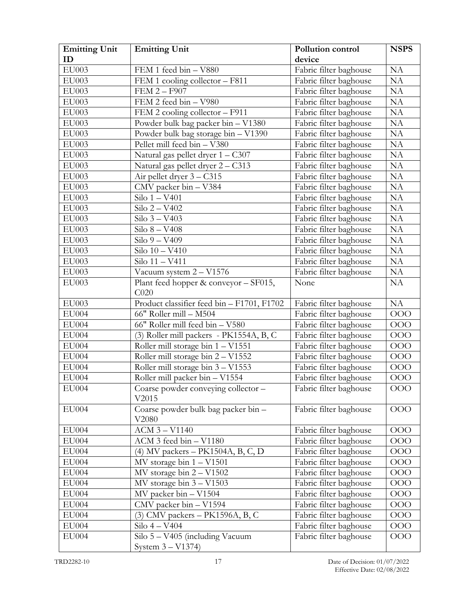| <b>Emitting Unit</b> | <b>Emitting Unit</b>                         | Pollution control      | <b>NSPS</b> |
|----------------------|----------------------------------------------|------------------------|-------------|
| ID                   |                                              | device                 |             |
| EU003                | FEM 1 feed bin - V880                        | Fabric filter baghouse | NA          |
| EU003                | FEM 1 cooling collector - F811               | Fabric filter baghouse | NA          |
| EU003                | <b>FEM 2-F907</b>                            | Fabric filter baghouse | NA          |
| EU003                | FEM 2 feed bin - V980                        | Fabric filter baghouse | NA          |
| EU003                | FEM 2 cooling collector - F911               | Fabric filter baghouse | NA          |
| EU003                | Powder bulk bag packer bin - V1380           | Fabric filter baghouse | NA          |
| EU003                | Powder bulk bag storage bin - V1390          | Fabric filter baghouse | NA          |
| EU003                | Pellet mill feed bin - V380                  | Fabric filter baghouse | NA          |
| EU003                | Natural gas pellet dryer $1 - C307$          | Fabric filter baghouse | NA          |
| EU003                | Natural gas pellet dryer 2 - C313            | Fabric filter baghouse | NA          |
| EU003                | Air pellet dryer $3 - C315$                  | Fabric filter baghouse | NA          |
| EU003                | CMV packer bin - V384                        | Fabric filter baghouse | NA          |
| EU003                | $Silo 1 - V401$                              | Fabric filter baghouse | NA          |
| EU003                | $Silo 2 - V402$                              | Fabric filter baghouse | NA          |
| <b>EU003</b>         | Silo 3 - V403                                | Fabric filter baghouse | NA          |
| EU003                | $Silo 8 - V408$                              | Fabric filter baghouse | NA          |
| $\mathrm{EU}003$     | $Silo 9 - V409$                              | Fabric filter baghouse | NA          |
| EU003                | Silo 10 - V410                               | Fabric filter baghouse | NA          |
| EU003                | Silo 11 - V411                               | Fabric filter baghouse | NA          |
| EU003                | Vacuum system $2 - V1576$                    | Fabric filter baghouse | NA          |
| EU003                | Plant feed hopper & conveyor - SF015,        | None                   | NA          |
|                      | C <sub>020</sub>                             |                        |             |
| EU003                | Product classifier feed bin - F1701, F1702   | Fabric filter baghouse | <b>NA</b>   |
| EU004                | 66" Roller mill - M504                       | Fabric filter baghouse | OOO         |
| EU004                | 66" Roller mill feed bin - V580              | Fabric filter baghouse | OOO         |
| <b>EU004</b>         | (3) Roller mill packers - PK1554A, B, C      | Fabric filter baghouse | OOO         |
| EU004                | Roller mill storage bin $1 - V1551$          | Fabric filter baghouse | OOO         |
| EU004                | Roller mill storage bin $2 - V1552$          | Fabric filter baghouse | OOO         |
| EU004                | Roller mill storage bin $3 - V1553$          | Fabric filter baghouse | <b>OOO</b>  |
| EU004                | Roller mill packer bin - V1554               | Fabric filter baghouse | <b>OOO</b>  |
| EU004                | Coarse powder conveying collector -<br>V2015 | Fabric filter baghouse | OOO         |
| <b>EU004</b>         | Coarse powder bulk bag packer bin -<br>V2080 | Fabric filter baghouse | OOO         |
| EU004                | ACM 3 - V1140                                | Fabric filter baghouse | OOO         |
| <b>EU004</b>         | ACM 3 feed bin - V1180                       | Fabric filter baghouse | OOO         |
| EU004                | (4) MV packers – PK1504A, B, C, D            | Fabric filter baghouse | OOO         |
| EU004                | MV storage bin $1 - V1501$                   | Fabric filter baghouse | OOO         |
| EU004                | MV storage bin $2 - V1502$                   | Fabric filter baghouse | OOO         |
| EU004                | MV storage bin $3 - V1503$                   | Fabric filter baghouse | OOO         |
| EU004                | MV packer bin - V1504                        | Fabric filter baghouse | OOO         |
| EU004                | CMV packer bin - V1594                       | Fabric filter baghouse | OOO         |
| EU004                | (3) CMV packers - PK1596A, B, C              | Fabric filter baghouse | OOO         |
| EU004                | Silo 4 - V404                                | Fabric filter baghouse | OOO         |
| EU004                | Silo 5 - V405 (including Vacuum              | Fabric filter baghouse | OOO         |
|                      | System 3 – V1374)                            |                        |             |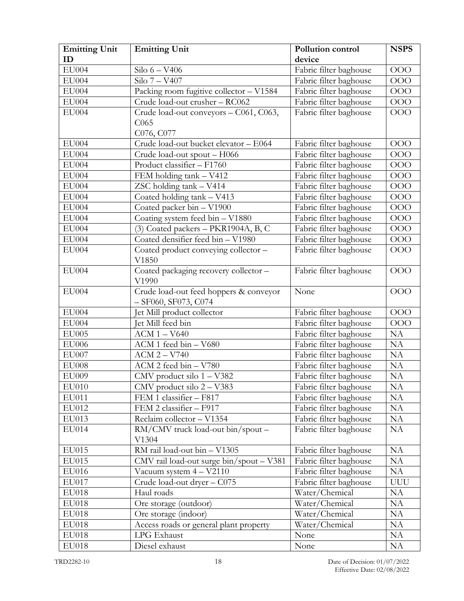| <b>Emitting Unit</b> | <b>Emitting Unit</b>                     | <b>Pollution control</b> | <b>NSPS</b> |
|----------------------|------------------------------------------|--------------------------|-------------|
| ID                   |                                          | device                   |             |
| <b>EU004</b>         | Silo $6 - V406$                          | Fabric filter baghouse   | OOO         |
| <b>EU004</b>         | Silo 7 - V407                            | Fabric filter baghouse   | OOO         |
| <b>EU004</b>         | Packing room fugitive collector - V1584  | Fabric filter baghouse   | <b>OOO</b>  |
| EU004                | Crude load-out crusher - RC062           | Fabric filter baghouse   | OOO         |
| EU004                | Crude load-out conveyors - C061, C063,   | Fabric filter baghouse   | OOO         |
|                      | C <sub>065</sub>                         |                          |             |
|                      | C076, C077                               |                          |             |
| <b>EU004</b>         | Crude load-out bucket elevator - E064    | Fabric filter baghouse   | OOO         |
| <b>EU004</b>         | Crude load-out spout - H066              | Fabric filter baghouse   | <b>OOO</b>  |
| EU004                | Product classifier - F1760               | Fabric filter baghouse   | OOO         |
| <b>EU004</b>         | FEM holding tank - V412                  | Fabric filter baghouse   | <b>OOO</b>  |
| <b>EU004</b>         | ZSC holding tank - V414                  | Fabric filter baghouse   | OOO         |
| EU004                | Coated holding tank - V413               | Fabric filter baghouse   | OOO         |
| EU004                | Coated packer bin - V1900                | Fabric filter baghouse   | OOO         |
| <b>EU004</b>         | Coating system feed bin - V1880          | Fabric filter baghouse   | OOO         |
| EU004                | (3) Coated packers - PKR1904A, B, C      | Fabric filter baghouse   | OOO         |
| EU004                | Coated densifier feed bin - V1980        | Fabric filter baghouse   | 000         |
| <b>EU004</b>         | Coated product conveying collector -     | Fabric filter baghouse   | <b>OOO</b>  |
|                      | V1850                                    |                          |             |
| EU004                | Coated packaging recovery collector -    | Fabric filter baghouse   | <b>OOO</b>  |
|                      | V1990                                    |                          |             |
| <b>EU004</b>         | Crude load-out feed hoppers & conveyor   | None                     | <b>OOO</b>  |
|                      | $-$ SF060, SF073, C074                   |                          |             |
| <b>EU004</b>         | Jet Mill product collector               | Fabric filter baghouse   | <b>OOO</b>  |
| <b>EU004</b>         | Jet Mill feed bin                        | Fabric filter baghouse   | OOO         |
| <b>EU005</b>         | ACM 1 - V640                             | Fabric filter baghouse   | NA          |
| <b>EU006</b>         | ACM 1 feed bin - V680                    | Fabric filter baghouse   | NA          |
| <b>EU007</b>         | $ACM 2 - V740$                           | Fabric filter baghouse   | NA          |
| <b>EU008</b>         | ACM 2 feed bin - V780                    | Fabric filter baghouse   | NA          |
| EU009                | CMV product silo 1 - V382                | Fabric filter baghouse   | NA          |
| EU010                | CMV product silo 2 - V383                | Fabric filter baghouse   | NA          |
| EU011                | FEM 1 classifier - F817                  | Fabric filter baghouse   | NA          |
| EU012                | FEM 2 classifier - F917                  | Fabric filter baghouse   | NA          |
| EU013                | Reclaim collector - V1354                | Fabric filter baghouse   | NA          |
| EU014                | RM/CMV truck load-out bin/spout -        | Fabric filter baghouse   | <b>NA</b>   |
|                      | V1304                                    |                          |             |
| EU015                | RM rail load-out bin - V1305             | Fabric filter baghouse   | NA          |
| EU015                | CMV rail load-out surge bin/spout - V381 | Fabric filter baghouse   | NA          |
| EU016                | Vacuum system 4 - V2110                  | Fabric filter baghouse   | NA          |
| EU017                | Crude load-out dryer - C075              | Fabric filter baghouse   | <b>UUU</b>  |
| EU018                | Haul roads                               | Water/Chemical           | NA          |
| EU018                | Ore storage (outdoor)                    | Water/Chemical           | NA          |
| <b>EU018</b>         | Ore storage (indoor)                     | Water/Chemical           | NA          |
| EU018                | Access roads or general plant property   | Water/Chemical           | <b>NA</b>   |
| EU018                | LPG Exhaust                              | None                     | NA          |
| <b>EU018</b>         | Diesel exhaust                           | None                     | NA          |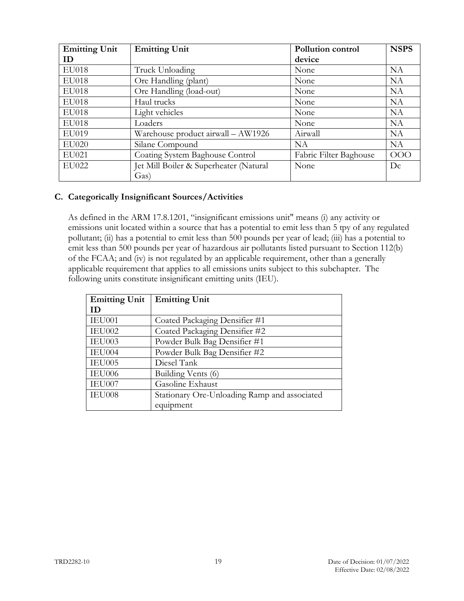| <b>Emitting Unit</b> | <b>Emitting Unit</b>                   | <b>Pollution control</b> | <b>NSPS</b> |
|----------------------|----------------------------------------|--------------------------|-------------|
| ID                   |                                        | device                   |             |
| <b>EU018</b>         | Truck Unloading                        | None                     | <b>NA</b>   |
| <b>EU018</b>         | Ore Handling (plant)                   | None                     | <b>NA</b>   |
| EU018                | Ore Handling (load-out)                | None                     | <b>NA</b>   |
| <b>EU018</b>         | Haul trucks                            | None                     | <b>NA</b>   |
| <b>EU018</b>         | Light vehicles                         | None                     | <b>NA</b>   |
| EU018                | Loaders                                | None                     | <b>NA</b>   |
| EU019                | Warehouse product airwall - AW1926     | Airwall                  | <b>NA</b>   |
| EU020                | Silane Compound                        | <b>NA</b>                | <b>NA</b>   |
| EU021                | Coating System Baghouse Control        | Fabric Filter Baghouse   | <b>OOO</b>  |
| <b>EU022</b>         | Jet Mill Boiler & Superheater (Natural | None                     | Dc          |
|                      | Gas)                                   |                          |             |

### **C. Categorically Insignificant Sources/Activities**

As defined in the ARM 17.8.1201, "insignificant emissions unit" means (i) any activity or emissions unit located within a source that has a potential to emit less than 5 tpy of any regulated pollutant; (ii) has a potential to emit less than 500 pounds per year of lead; (iii) has a potential to emit less than 500 pounds per year of hazardous air pollutants listed pursuant to Section 112(b) of the FCAA; and (iv) is not regulated by an applicable requirement, other than a generally applicable requirement that applies to all emissions units subject to this subchapter. The following units constitute insignificant emitting units (IEU).

| <b>Emitting Unit</b> | <b>Emitting Unit</b>                         |  |
|----------------------|----------------------------------------------|--|
| ID                   |                                              |  |
| IEU001               | Coated Packaging Densifier #1                |  |
| IEU002               | Coated Packaging Densifier #2                |  |
| IEU003               | Powder Bulk Bag Densifier #1                 |  |
| IEU004               | Powder Bulk Bag Densifier #2                 |  |
| IEU005               | Diesel Tank                                  |  |
| IEU006               | Building Vents (6)                           |  |
| IEU007               | Gasoline Exhaust                             |  |
| IEU008               | Stationary Ore-Unloading Ramp and associated |  |
|                      | equipment                                    |  |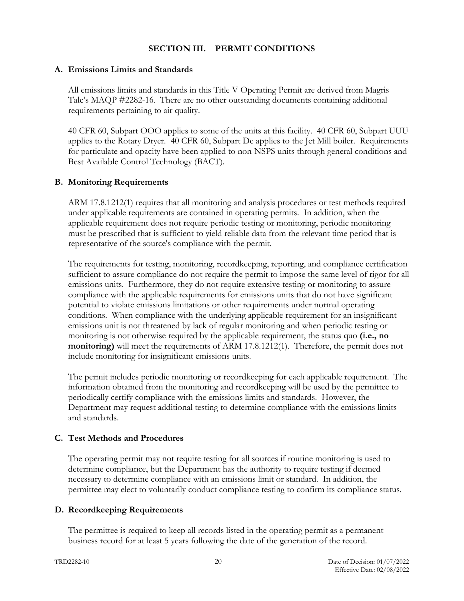### **SECTION III. PERMIT CONDITIONS**

#### **A. Emissions Limits and Standards**

All emissions limits and standards in this Title V Operating Permit are derived from Magris Talc's MAQP #2282-16. There are no other outstanding documents containing additional requirements pertaining to air quality.

40 CFR 60, Subpart OOO applies to some of the units at this facility. 40 CFR 60, Subpart UUU applies to the Rotary Dryer. 40 CFR 60, Subpart Dc applies to the Jet Mill boiler. Requirements for particulate and opacity have been applied to non-NSPS units through general conditions and Best Available Control Technology (BACT).

### **B. Monitoring Requirements**

ARM 17.8.1212(1) requires that all monitoring and analysis procedures or test methods required under applicable requirements are contained in operating permits. In addition, when the applicable requirement does not require periodic testing or monitoring, periodic monitoring must be prescribed that is sufficient to yield reliable data from the relevant time period that is representative of the source's compliance with the permit.

The requirements for testing, monitoring, recordkeeping, reporting, and compliance certification sufficient to assure compliance do not require the permit to impose the same level of rigor for all emissions units. Furthermore, they do not require extensive testing or monitoring to assure compliance with the applicable requirements for emissions units that do not have significant potential to violate emissions limitations or other requirements under normal operating conditions. When compliance with the underlying applicable requirement for an insignificant emissions unit is not threatened by lack of regular monitoring and when periodic testing or monitoring is not otherwise required by the applicable requirement, the status quo **(i.e., no monitoring)** will meet the requirements of ARM 17.8.1212(1). Therefore, the permit does not include monitoring for insignificant emissions units.

The permit includes periodic monitoring or recordkeeping for each applicable requirement. The information obtained from the monitoring and recordkeeping will be used by the permittee to periodically certify compliance with the emissions limits and standards. However, the Department may request additional testing to determine compliance with the emissions limits and standards.

### **C. Test Methods and Procedures**

The operating permit may not require testing for all sources if routine monitoring is used to determine compliance, but the Department has the authority to require testing if deemed necessary to determine compliance with an emissions limit or standard. In addition, the permittee may elect to voluntarily conduct compliance testing to confirm its compliance status.

### **D. Recordkeeping Requirements**

The permittee is required to keep all records listed in the operating permit as a permanent business record for at least 5 years following the date of the generation of the record.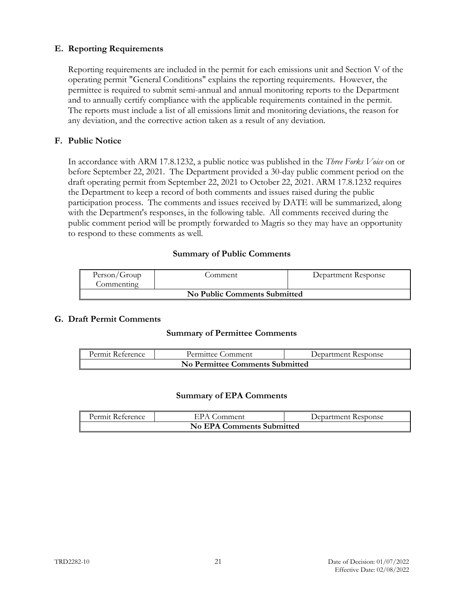# **E. Reporting Requirements**

Reporting requirements are included in the permit for each emissions unit and Section V of the operating permit "General Conditions" explains the reporting requirements. However, the permittee is required to submit semi-annual and annual monitoring reports to the Department and to annually certify compliance with the applicable requirements contained in the permit. The reports must include a list of all emissions limit and monitoring deviations, the reason for any deviation, and the corrective action taken as a result of any deviation.

## **F. Public Notice**

In accordance with ARM 17.8.1232, a public notice was published in the *Three Forks Voice* on or before September 22, 2021. The Department provided a 30-day public comment period on the draft operating permit from September 22, 2021 to October 22, 2021. ARM 17.8.1232 requires the Department to keep a record of both comments and issues raised during the public participation process. The comments and issues received by DATE will be summarized, along with the Department's responses, in the following table. All comments received during the public comment period will be promptly forwarded to Magris so they may have an opportunity to respond to these comments as well.

# **Summary of Public Comments**

| Person/Group<br>Commenting   | .omment | Department Response |  |
|------------------------------|---------|---------------------|--|
| No Public Comments Submitted |         |                     |  |

### **G. Draft Permit Comments**

### **Summary of Permittee Comments**

| Permit Reference                | Permittee Comment | Department Response |
|---------------------------------|-------------------|---------------------|
| No Permittee Comments Submitted |                   |                     |

#### **Summary of EPA Comments**

| Permit Reference                 | EPA Comment | Department Response |
|----------------------------------|-------------|---------------------|
| <b>No EPA Comments Submitted</b> |             |                     |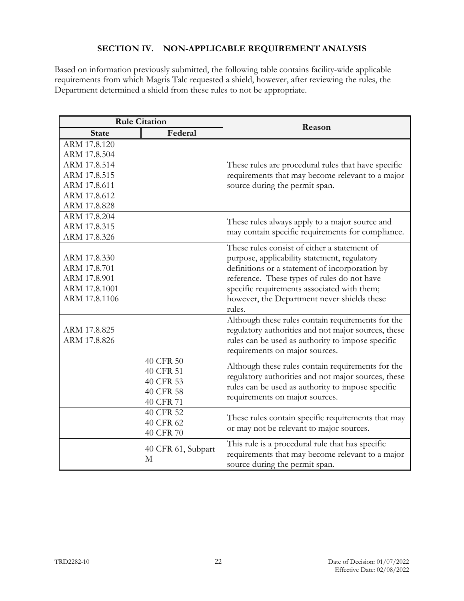# **SECTION IV. NON-APPLICABLE REQUIREMENT ANALYSIS**

Based on information previously submitted, the following table contains facility-wide applicable requirements from which Magris Talc requested a shield, however, after reviewing the rules, the Department determined a shield from these rules to not be appropriate.

|               | <b>Rule Citation</b> | Reason                                              |
|---------------|----------------------|-----------------------------------------------------|
| <b>State</b>  | Federal              |                                                     |
| ARM 17.8.120  |                      |                                                     |
| ARM 17.8.504  |                      |                                                     |
| ARM 17.8.514  |                      | These rules are procedural rules that have specific |
| ARM 17.8.515  |                      | requirements that may become relevant to a major    |
| ARM 17.8.611  |                      | source during the permit span.                      |
| ARM 17.8.612  |                      |                                                     |
| ARM 17.8.828  |                      |                                                     |
| ARM 17.8.204  |                      | These rules always apply to a major source and      |
| ARM 17.8.315  |                      | may contain specific requirements for compliance.   |
| ARM 17.8.326  |                      |                                                     |
|               |                      | These rules consist of either a statement of        |
| ARM 17.8.330  |                      | purpose, applicability statement, regulatory        |
| ARM 17.8.701  |                      | definitions or a statement of incorporation by      |
| ARM 17.8.901  |                      | reference. These types of rules do not have         |
| ARM 17.8.1001 |                      | specific requirements associated with them;         |
| ARM 17.8.1106 |                      | however, the Department never shields these         |
|               |                      | rules.                                              |
|               |                      | Although these rules contain requirements for the   |
| ARM 17.8.825  |                      | regulatory authorities and not major sources, these |
| ARM 17.8.826  |                      | rules can be used as authority to impose specific   |
|               |                      | requirements on major sources.                      |
|               | 40 CFR 50            | Although these rules contain requirements for the   |
|               | 40 CFR 51            | regulatory authorities and not major sources, these |
|               | 40 CFR 53            | rules can be used as authority to impose specific   |
|               | 40 CFR 58            | requirements on major sources.                      |
|               | 40 CFR 71            |                                                     |
|               | 40 CFR 52            | These rules contain specific requirements that may  |
|               | 40 CFR 62            | or may not be relevant to major sources.            |
|               | 40 CFR 70            |                                                     |
|               | 40 CFR 61, Subpart   | This rule is a procedural rule that has specific    |
|               | М                    | requirements that may become relevant to a major    |
|               |                      | source during the permit span.                      |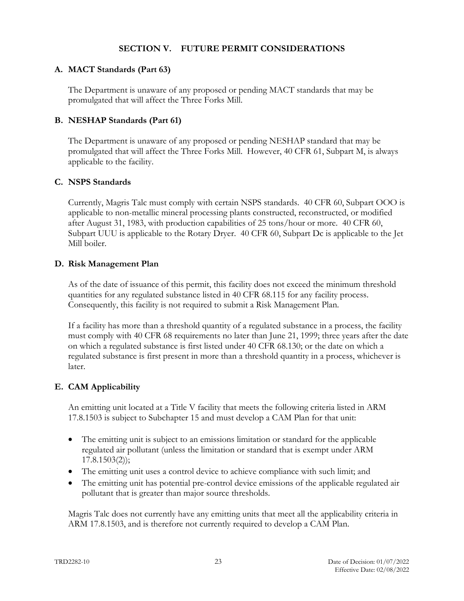### **SECTION V. FUTURE PERMIT CONSIDERATIONS**

#### **A. MACT Standards (Part 63)**

The Department is unaware of any proposed or pending MACT standards that may be promulgated that will affect the Three Forks Mill.

#### **B. NESHAP Standards (Part 61)**

The Department is unaware of any proposed or pending NESHAP standard that may be promulgated that will affect the Three Forks Mill. However, 40 CFR 61, Subpart M, is always applicable to the facility.

#### **C. NSPS Standards**

Currently, Magris Talc must comply with certain NSPS standards. 40 CFR 60, Subpart OOO is applicable to non-metallic mineral processing plants constructed, reconstructed, or modified after August 31, 1983, with production capabilities of 25 tons/hour or more. 40 CFR 60, Subpart UUU is applicable to the Rotary Dryer. 40 CFR 60, Subpart Dc is applicable to the Jet Mill boiler.

#### **D. Risk Management Plan**

As of the date of issuance of this permit, this facility does not exceed the minimum threshold quantities for any regulated substance listed in 40 CFR 68.115 for any facility process. Consequently, this facility is not required to submit a Risk Management Plan.

If a facility has more than a threshold quantity of a regulated substance in a process, the facility must comply with 40 CFR 68 requirements no later than June 21, 1999; three years after the date on which a regulated substance is first listed under 40 CFR 68.130; or the date on which a regulated substance is first present in more than a threshold quantity in a process, whichever is later.

### **E. CAM Applicability**

An emitting unit located at a Title V facility that meets the following criteria listed in ARM 17.8.1503 is subject to Subchapter 15 and must develop a CAM Plan for that unit:

- The emitting unit is subject to an emissions limitation or standard for the applicable regulated air pollutant (unless the limitation or standard that is exempt under ARM 17.8.1503(2));
- The emitting unit uses a control device to achieve compliance with such limit; and
- The emitting unit has potential pre-control device emissions of the applicable regulated air pollutant that is greater than major source thresholds.

Magris Talc does not currently have any emitting units that meet all the applicability criteria in ARM 17.8.1503, and is therefore not currently required to develop a CAM Plan.